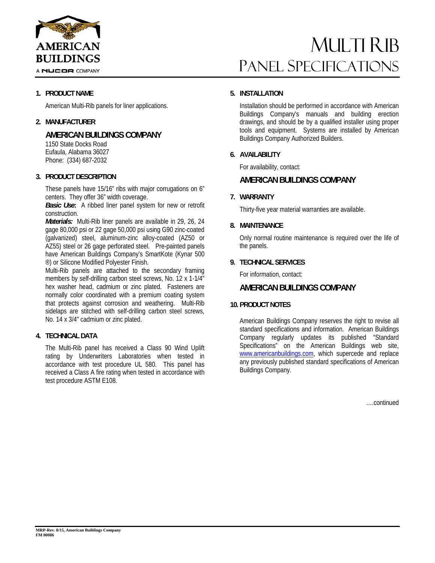

# MULTI RIB Panel Specifications

### **1. PRODUCT NAME**

American Multi-Rib panels for liner applications.

#### **2. MANUFACTURER**

## **AMERICAN BUILDINGS COMPANY**

 1150 State Docks Road Eufaula, Alabama 36027 Phone: (334) 687-2032

#### **3. PRODUCT DESCRIPTION**

These panels have 15/16" ribs with major corrugations on 6" centers. They offer 36" width coverage.

*Basic Use***:** A ribbed liner panel system for new or retrofit construction.

*Materials:* Multi-Rib liner panels are available in 29, 26, 24 gage 80,000 psi or 22 gage 50,000 psi using G90 zinc-coated (galvanized) steel, aluminum-zinc alloy-coated (AZ50 or AZ55) steel or 26 gage perforated steel. Pre-painted panels have American Buildings Company's SmartKote (Kynar 500 ®) or Silicone Modified Polyester Finish.

Multi-Rib panels are attached to the secondary framing members by self-drilling carbon steel screws, No. 12 x 1-1/4" hex washer head, cadmium or zinc plated. Fasteners are normally color coordinated with a premium coating system that protects against corrosion and weathering. Multi-Rib sidelaps are stitched with self-drilling carbon steel screws, No. 14 x 3/4" cadmium or zinc plated.

### **4. TECHNICAL DATA**

The Multi-Rib panel has received a Class 90 Wind Uplift rating by Underwriters Laboratories when tested in accordance with test procedure UL 580. This panel has received a Class A fire rating when tested in accordance with test procedure ASTM E108.

#### **5. INSTALLATION**

Installation should be performed in accordance with American Buildings Company's manuals and building erection drawings, and should be by a qualified installer using proper tools and equipment. Systems are installed by American Buildings Company Authorized Builders.

#### **6. AVAILABILITY**

For availability, contact:

### **AMERICAN BUILDINGS COMPANY**

#### **7. WARRANTY**

Thirty-five year material warranties are available.

#### **8. MAINTENANCE**

Only normal routine maintenance is required over the life of the panels.

#### **9. TECHNICAL SERVICES**

For information, contact:

#### **AMERICAN BUILDINGS COMPANY**

#### **10. PRODUCT NOTES**

American Buildings Company reserves the right to revise all standard specifications and information. American Buildings Company regularly updates its published "Standard Specifications" on the American Buildings web site, www.americanbuildings.com, which supercede and replace any previously published standard specifications of American Buildings Company.

….continued